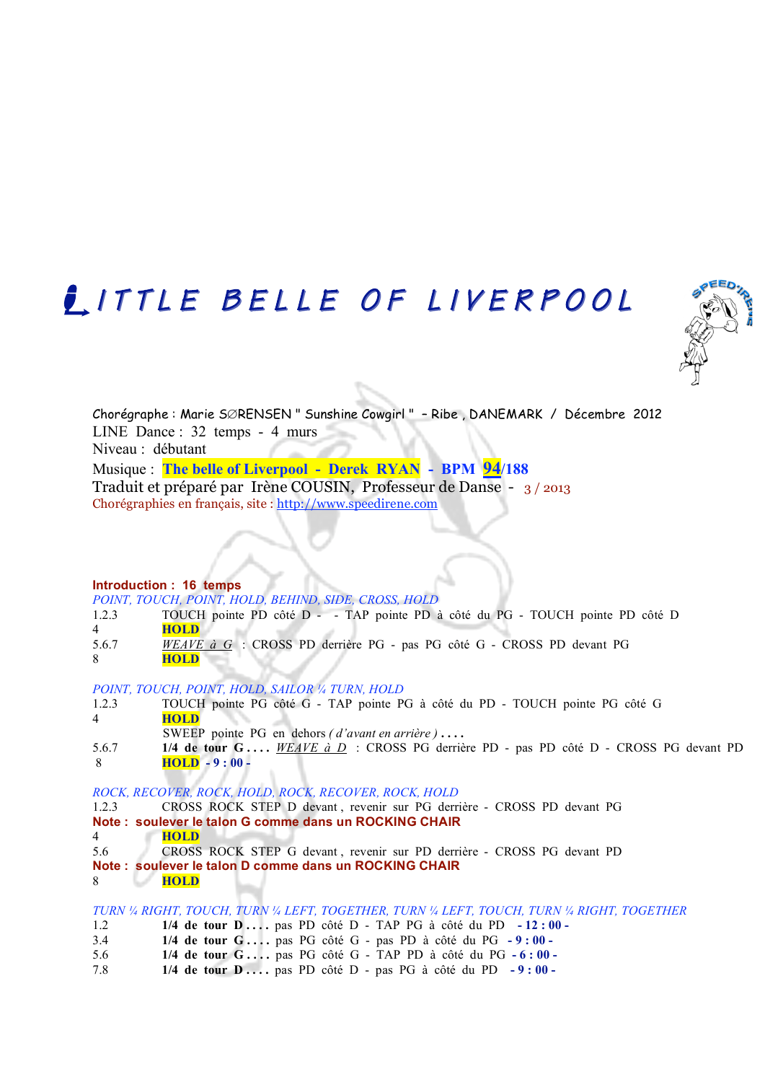# LITTLE BELLE OF LIVERPOOL



Chorégraphe : Marie S∅RENSEN " Sunshine Cowgirl " – Ribe , DANEMARK / Décembre 2012 LINE Dance : 32 temps - 4 murs Niveau : débutant

Musique : **The belle of Liverpool - Derek RYAN - BPM 94/188**  Traduit et préparé par Irène COUSIN, Professeur de Danse - 3 / 2013 Chorégraphies en français, site : http://www.speedirene.com

**Introduction : 16 temps**

*POINT, TOUCH, POINT, HOLD, BEHIND, SIDE, CROSS, HOLD*

- 1.2.3 TOUCH pointe PD côté D - TAP pointe PD à côté du PG TOUCH pointe PD côté D 4 **HOLD**
- 5.6.7 *WEAVE à G* : CROSS PD derrière PG pas PG côté G CROSS PD devant PG 8 **HOLD**

*POINT, TOUCH, POINT, HOLD, SAILOR ¼ TURN, HOLD*

- 1.2.3 TOUCH pointe PG côté G TAP pointe PG à côté du PD TOUCH pointe PG côté G 4 **HOLD** SWEEP pointe PG en dehors *( d'avant en arrière )* **. . . .**
- 5.6.7 **1/4 de tour G . . . .** *WEAVE à D* : CROSS PG derrière PD pas PD côté D CROSS PG devant PD 8 **HOLD - 9 : 00 -**

*ROCK, RECOVER, ROCK, HOLD, ROCK, RECOVER, ROCK, HOLD*

- 1.2.3 CROSS ROCK STEP D devant , revenir sur PG derrière CROSS PD devant PG
- **Note : soulever le talon G comme dans un ROCKING CHAIR**
- 4 **HOLD**
- 5.6 CROSS ROCK STEP G devant , revenir sur PD derrière CROSS PG devant PD **Note : soulever le talon D comme dans un ROCKING CHAIR** 8 **HOLD**
- *TURN ¼ RIGHT, TOUCH, TURN ¼ LEFT, TOGETHER, TURN ¼ LEFT, TOUCH, TURN ¼ RIGHT, TOGETHER*
- 1.2 **1/4 de tour D . . . .** pas PD côté D TAP PG à côté du PD  **12 : 00 -**
- 3.4 **1/4 de tour G . . . .** pas PG côté G pas PD à côté du PG  **9 : 00 -**
- 5.6 **1/4 de tour G . . . .** pas PG côté G TAP PD à côté du PG  **6 : 00 -**
- 7.8 **1/4 de tour D . . . .** pas PD côté D pas PG à côté du PD  **9 : 00 -**